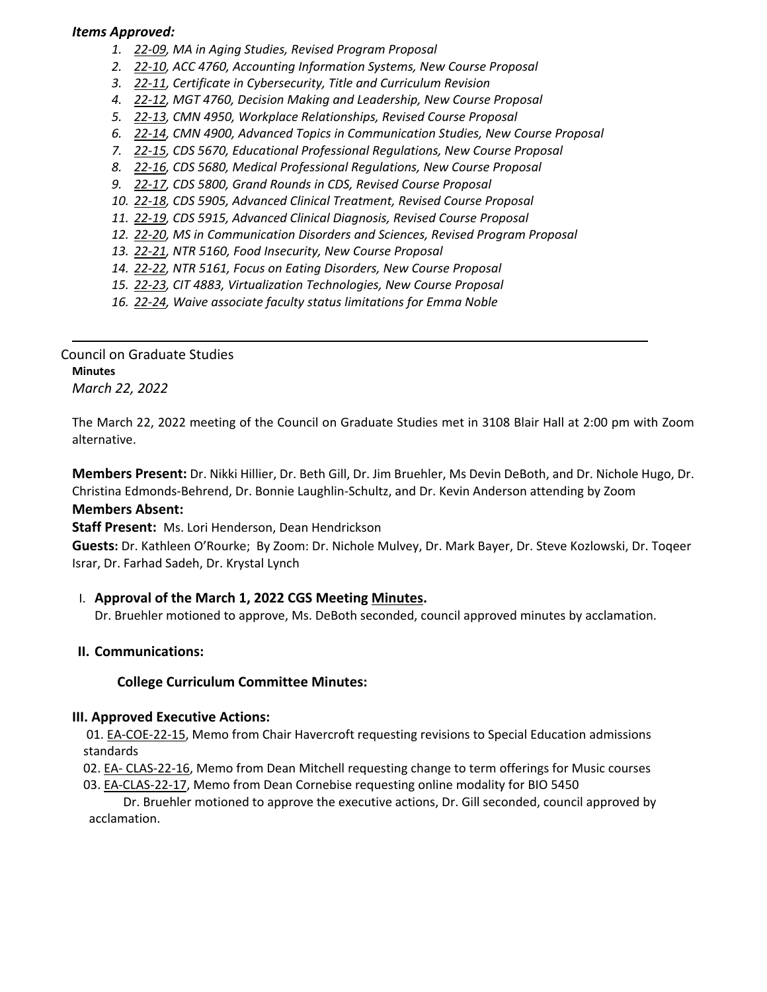## *Items Approved:*

- *1. 22‐[09,](https://castle.eiu.edu/eiucgs/currentagendaitems/agenda22-09.pdf) MA in Aging Studies, Revised Program Proposal*
- *2. 22‐[10,](https://castle.eiu.edu/eiucgs/currentagendaitems/agenda22-10.pdf) ACC 4760, Accounting Information Systems, New Course Proposal*
- *3. 22‐[11,](https://castle.eiu.edu/eiucgs/currentagendaitems/agenda22-11.pdf) Certificate in Cybersecurity, Title and Curriculum Revision*
- *4. 22‐[12,](https://castle.eiu.edu/eiucgs/currentagendaitems/agenda22-12.pdf) MGT 4760, Decision Making and Leadership, New Course Proposal*
- *5. 22‐[13,](https://castle.eiu.edu/eiucgs/currentagendaitems/agenda22-13.pdf) CMN 4950, Workplace Relationships, Revised Course Proposal*
- *6. 22‐[14,](https://castle.eiu.edu/eiucgs/currentagendaitems/agenda22-14.pdf) CMN 4900, Advanced Topics in Communication Studies, New Course Proposal*
- *7. 22‐[15,](https://castle.eiu.edu/eiucgs/currentagendaitems/agenda22-15.pdf) CDS 5670, Educational Professional Regulations, New Course Proposal*
- *8. 22‐[16,](https://castle.eiu.edu/eiucgs/currentagendaitems/agenda22-16.pdf) CDS 5680, Medical Professional Regulations, New Course Proposal*
- *9. 22‐[17,](https://castle.eiu.edu/eiucgs/currentagendaitems/agenda22-17.pdf) CDS 5800, Grand Rounds in CDS, Revised Course Proposal*
- *10. 22‐[18,](https://castle.eiu.edu/eiucgs/currentagendaitems/agenda22-18.pdf) CDS 5905, Advanced Clinical Treatment, Revised Course Proposal*
- *11. 22‐[19,](https://castle.eiu.edu/eiucgs/currentagendaitems/agenda22-19.pdf) CDS 5915, Advanced Clinical Diagnosis, Revised Course Proposal*
- *12. 22‐[20,](https://castle.eiu.edu/eiucgs/currentagendaitems/agenda22-20.pdf) MS in Communication Disorders and Sciences, Revised Program Proposal*
- *13. 22‐[21,](https://castle.eiu.edu/eiucgs/currentagendaitems/agenda22-21.pdf) NTR 5160, Food Insecurity, New Course Proposal*
- *14. 22‐[22,](https://castle.eiu.edu/eiucgs/currentagendaitems/agenda22-22.pdf) NTR 5161, Focus on Eating Disorders, New Course Proposal*
- *15. 22‐[23,](https://castle.eiu.edu/eiucgs/currentagendaitems/agenda22-23.pdf) CIT 4883, Virtualization Technologies, New Course Proposal*
- *16. 22‐[24,](https://castle.eiu.edu/eiucgs/currentagendaitems/agenda22-24.pdf) Waive associate faculty status limitations for Emma Noble*

Council on Graduate Studies **Minutes** *March 22, 2022*

The March 22, 2022 meeting of the Council on Graduate Studies met in 3108 Blair Hall at 2:00 pm with Zoom alternative.

**Members Present:** Dr. Nikki Hillier, Dr. Beth Gill, Dr. Jim Bruehler, Ms Devin DeBoth, and Dr. Nichole Hugo, Dr. Christina Edmonds‐Behrend, Dr. Bonnie Laughlin‐Schultz, and Dr. Kevin Anderson attending by Zoom **Members Absent:** 

**Staff Present:** Ms. Lori Henderson, Dean Hendrickson

**Guests:** Dr. Kathleen O'Rourke; By Zoom: Dr. Nichole Mulvey, Dr. Mark Bayer, Dr. Steve Kozlowski, Dr. Toqeer Israr, Dr. Farhad Sadeh, Dr. Krystal Lynch

# I. **Approval of the March 1, 2022 CGS Meeting [Minutes.](https://castle.eiu.edu/eiucgs/currentminutes/Minutes3-1-22.pdf)**

Dr. Bruehler motioned to approve, Ms. DeBoth seconded, council approved minutes by acclamation.

# **II. Communications:**

# **College Curriculum Committee Minutes:**

### **III. Approved Executive Actions:**

01. EA-[COE](https://castle.eiu.edu/eiucgs/exec-actions/EA-COE-22-15.pdf)-22-15, Memo from Chair Havercroft requesting revisions to Special Education admissions standards

- 02. EA‐ [CLAS](https://castle.eiu.edu/eiucgs/exec-actions/EA-CLAS-22-16.pdf)‐22‐16, Memo from Dean Mitchell requesting change to term offerings for Music courses
- 03. EA‐[CLAS](https://castle.eiu.edu/eiucgs/exec-actions/EA-CLAS-22-17.pdf)‐22‐17, Memo from Dean Cornebise requesting online modality for BIO 5450

 Dr. Bruehler motioned to approve the executive actions, Dr. Gill seconded, council approved by acclamation.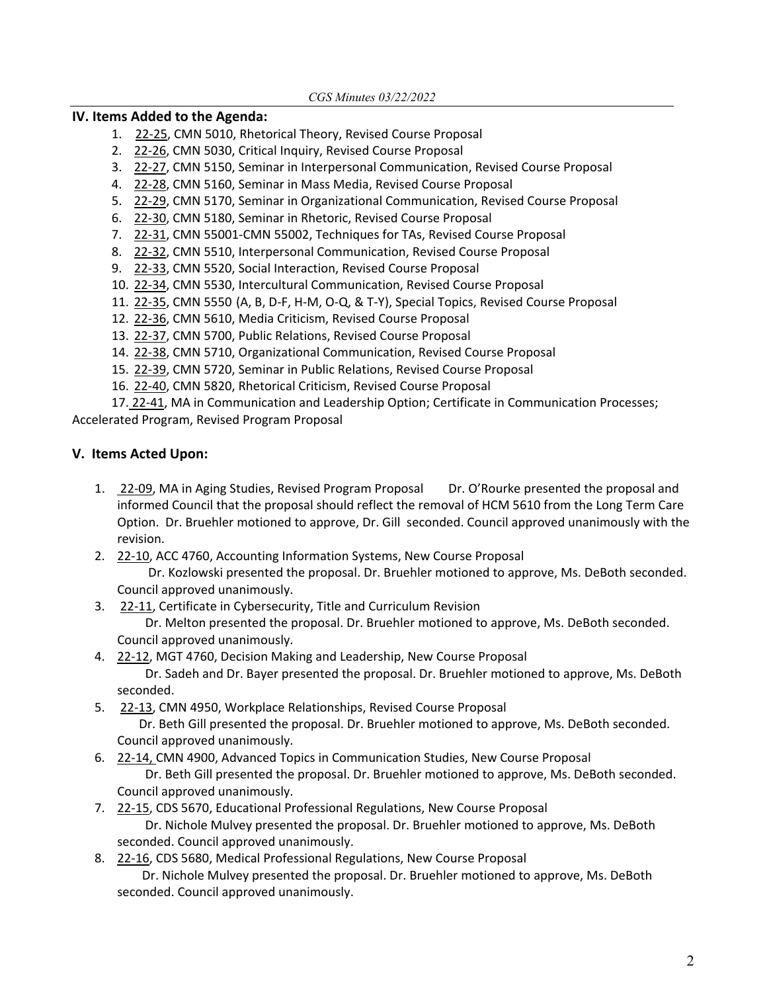### **IV. Items Added to the Agenda:**

- 1. 22-[25,](https://castle.eiu.edu/eiucgs/currentagendaitems/agenda22-25.pdf) CMN 5010, Rhetorical Theory, Revised Course Proposal
- 2. 22‐[26,](https://castle.eiu.edu/eiucgs/currentagendaitems/agenda22-26.pdf) CMN 5030, Critical Inquiry, Revised Course Proposal
- 3. 22-[27,](https://castle.eiu.edu/eiucgs/currentagendaitems/agenda22-27.pdf) CMN 5150, Seminar in Interpersonal Communication, Revised Course Proposal
- 4. 22‐[28,](https://castle.eiu.edu/eiucgs/currentagendaitems/agenda22-28.pdf) CMN 5160, Seminar in Mass Media, Revised Course Proposal
- 5. 22-[29,](https://castle.eiu.edu/eiucgs/currentagendaitems/agenda22-29.pdf) CMN 5170, Seminar in Organizational Communication, Revised Course Proposal
- 6. 22‐[30,](https://castle.eiu.edu/eiucgs/currentagendaitems/agenda22-30.pdf) CMN 5180, Seminar in Rhetoric, Revised Course Proposal
- 7. 22-[31,](https://castle.eiu.edu/eiucgs/currentagendaitems/agenda22-31.pdf) CMN 55001-CMN 55002, Techniques for TAs, Revised Course Proposal
- 8. 22-[32,](https://castle.eiu.edu/eiucgs/currentagendaitems/agenda22-32.pdf) CMN 5510, Interpersonal Communication, Revised Course Proposal
- 9. 22‐[33](https://castle.eiu.edu/eiucgs/currentagendaitems/agenda22-33.pdf), CMN 5520, Social Interaction, Revised Course Proposal
- 10. 22‐[34,](https://castle.eiu.edu/eiucgs/currentagendaitems/agenda22-34.pdf) CMN 5530, Intercultural Communication, Revised Course Proposal
- 11. 22‐[35,](https://castle.eiu.edu/eiucgs/currentagendaitems/agenda22-35.pdf) CMN 5550 (A, B, D‐F, H‐M, O‐Q, & T‐Y), Special Topics, Revised Course Proposal
- 12. 22‐[36,](https://castle.eiu.edu/eiucgs/currentagendaitems/agenda22-36.pdf) CMN 5610, Media Criticism, Revised Course Proposal
- 13. 22-[37,](https://castle.eiu.edu/eiucgs/currentagendaitems/agenda22-37.pdf) CMN 5700, Public Relations, Revised Course Proposal
- 14. 22-[38,](https://castle.eiu.edu/eiucgs/currentagendaitems/agenda22-38.pdf) CMN 5710, Organizational Communication, Revised Course Proposal
- 15. 22‐[39,](https://castle.eiu.edu/eiucgs/currentagendaitems/agenda22-39.pdf) CMN 5720, Seminar in Public Relations, Revised Course Proposal
- 16. 22‐[40,](https://castle.eiu.edu/eiucgs/currentagendaitems/agenda22-40.pdf) CMN 5820, Rhetorical Criticism, Revised Course Proposal

 17. [22](https://castle.eiu.edu/eiucgs/currentagendaitems/agenda22-41.pdf)‐41, MA in Communication and Leadership Option; Certificate in Communication Processes; Accelerated Program, Revised Program Proposal

### **V. Items Acted Upon:**

- 1. 22-[09,](https://castle.eiu.edu/eiucgs/currentagendaitems/agenda22-09.pdf) MA in Aging Studies, Revised Program Proposal Dr. O'Rourke presented the proposal and informed Council that the proposal should reflect the removal of HCM 5610 from the Long Term Care Option. Dr. Bruehler motioned to approve, Dr. Gill seconded. Council approved unanimously with the revision.
- 2. 22-[10,](https://castle.eiu.edu/eiucgs/currentagendaitems/agenda22-10.pdf) ACC 4760, Accounting Information Systems, New Course Proposal Dr. Kozlowski presented the proposal. Dr. Bruehler motioned to approve, Ms. DeBoth seconded. Council approved unanimously.
- 3. 22-[11,](https://castle.eiu.edu/eiucgs/currentagendaitems/agenda22-11.pdf) Certificate in Cybersecurity, Title and Curriculum Revision

 Dr. Melton presented the proposal. Dr. Bruehler motioned to approve, Ms. DeBoth seconded. Council approved unanimously.

- 4. 22‐[12,](https://castle.eiu.edu/eiucgs/currentagendaitems/agenda22-12.pdf) MGT 4760, Decision Making and Leadership, New Course Proposal Dr. Sadeh and Dr. Bayer presented the proposal. Dr. Bruehler motioned to approve, Ms. DeBoth seconded.
- 5. 22‐[13,](https://castle.eiu.edu/eiucgs/currentagendaitems/agenda22-13.pdf) CMN 4950, Workplace Relationships, Revised Course Proposal Dr. Beth Gill presented the proposal. Dr. Bruehler motioned to approve, Ms. DeBoth seconded. Council approved unanimously.
- 6. 22‐[14,](https://castle.eiu.edu/eiucgs/currentagendaitems/agenda22-14.pdf) CMN 4900, Advanced Topics in Communication Studies, New Course Proposal Dr. Beth Gill presented the proposal. Dr. Bruehler motioned to approve, Ms. DeBoth seconded. Council approved unanimously.
- 7. 22-[15,](https://castle.eiu.edu/eiucgs/currentagendaitems/agenda22-15.pdf) CDS 5670, Educational Professional Regulations, New Course Proposal Dr. Nichole Mulvey presented the proposal. Dr. Bruehler motioned to approve, Ms. DeBoth seconded. Council approved unanimously.
- 8. 22-[16,](https://castle.eiu.edu/eiucgs/currentagendaitems/agenda22-16.pdf) CDS 5680, Medical Professional Regulations, New Course Proposal Dr. Nichole Mulvey presented the proposal. Dr. Bruehler motioned to approve, Ms. DeBoth seconded. Council approved unanimously.